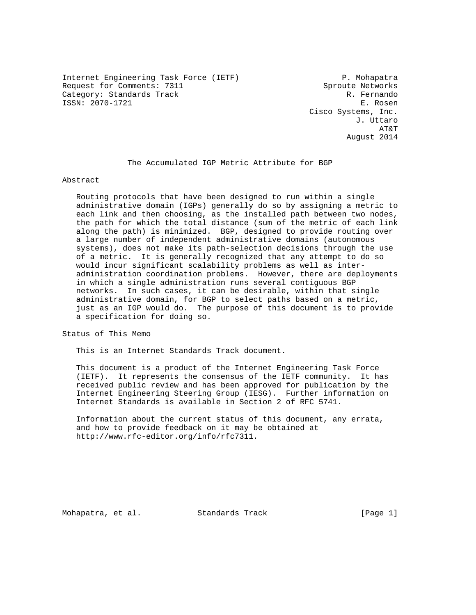Internet Engineering Task Force (IETF) P. Mohapatra Request for Comments: 7311 Sproute Networks Category: Standards Track R. Fernando ISSN: 2070-1721 E. Rosen

 Cisco Systems, Inc. J. Uttaro AT&T August 2014

# The Accumulated IGP Metric Attribute for BGP

Abstract

 Routing protocols that have been designed to run within a single administrative domain (IGPs) generally do so by assigning a metric to each link and then choosing, as the installed path between two nodes, the path for which the total distance (sum of the metric of each link along the path) is minimized. BGP, designed to provide routing over a large number of independent administrative domains (autonomous systems), does not make its path-selection decisions through the use of a metric. It is generally recognized that any attempt to do so would incur significant scalability problems as well as inter administration coordination problems. However, there are deployments in which a single administration runs several contiguous BGP networks. In such cases, it can be desirable, within that single administrative domain, for BGP to select paths based on a metric, just as an IGP would do. The purpose of this document is to provide a specification for doing so.

Status of This Memo

This is an Internet Standards Track document.

 This document is a product of the Internet Engineering Task Force (IETF). It represents the consensus of the IETF community. It has received public review and has been approved for publication by the Internet Engineering Steering Group (IESG). Further information on Internet Standards is available in Section 2 of RFC 5741.

 Information about the current status of this document, any errata, and how to provide feedback on it may be obtained at http://www.rfc-editor.org/info/rfc7311.

Mohapatra, et al. Standards Track [Page 1]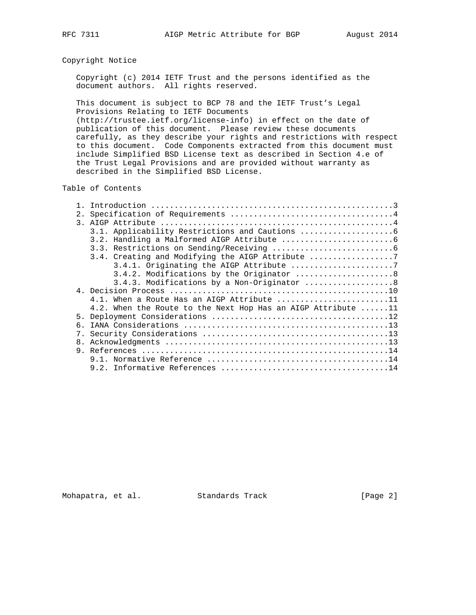# Copyright Notice

 Copyright (c) 2014 IETF Trust and the persons identified as the document authors. All rights reserved.

 This document is subject to BCP 78 and the IETF Trust's Legal Provisions Relating to IETF Documents

 (http://trustee.ietf.org/license-info) in effect on the date of publication of this document. Please review these documents carefully, as they describe your rights and restrictions with respect to this document. Code Components extracted from this document must include Simplified BSD License text as described in Section 4.e of the Trust Legal Provisions and are provided without warranty as described in the Simplified BSD License.

## Table of Contents

| 2. |                                                                      |
|----|----------------------------------------------------------------------|
|    |                                                                      |
|    |                                                                      |
|    |                                                                      |
|    |                                                                      |
|    | 3.4. Creating and Modifying the AIGP Attribute                       |
|    | 3.4.1. Originating the AIGP Attribute 7                              |
|    | 3.4.2. Modifications by the Originator  8                            |
|    | 3.4.3. Modifications by a Non-Originator 8                           |
|    |                                                                      |
|    | 4.1. When a Route Has an AIGP Attribute 11                           |
|    | 4.2. When the Route to the Next Hop Has an AIGP Attribute $\dots$ 11 |
|    |                                                                      |
| б. |                                                                      |
|    |                                                                      |
|    |                                                                      |
|    |                                                                      |
|    |                                                                      |
|    |                                                                      |

Mohapatra, et al. Standards Track [Page 2]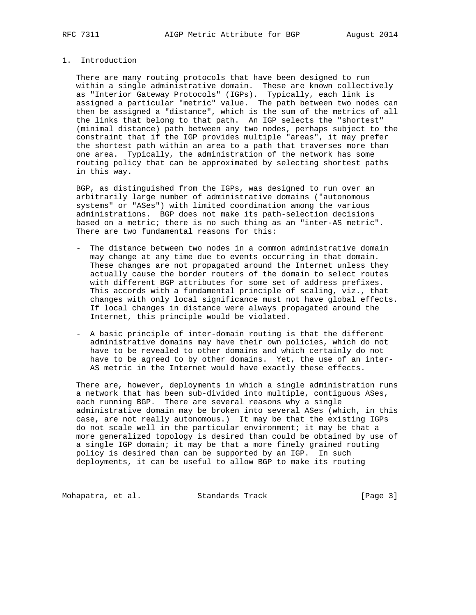## 1. Introduction

 There are many routing protocols that have been designed to run within a single administrative domain. These are known collectively as "Interior Gateway Protocols" (IGPs). Typically, each link is assigned a particular "metric" value. The path between two nodes can then be assigned a "distance", which is the sum of the metrics of all the links that belong to that path. An IGP selects the "shortest" (minimal distance) path between any two nodes, perhaps subject to the constraint that if the IGP provides multiple "areas", it may prefer the shortest path within an area to a path that traverses more than one area. Typically, the administration of the network has some routing policy that can be approximated by selecting shortest paths in this way.

 BGP, as distinguished from the IGPs, was designed to run over an arbitrarily large number of administrative domains ("autonomous systems" or "ASes") with limited coordination among the various administrations. BGP does not make its path-selection decisions based on a metric; there is no such thing as an "inter-AS metric". There are two fundamental reasons for this:

- The distance between two nodes in a common administrative domain may change at any time due to events occurring in that domain. These changes are not propagated around the Internet unless they actually cause the border routers of the domain to select routes with different BGP attributes for some set of address prefixes. This accords with a fundamental principle of scaling, viz., that changes with only local significance must not have global effects. If local changes in distance were always propagated around the Internet, this principle would be violated.
- A basic principle of inter-domain routing is that the different administrative domains may have their own policies, which do not have to be revealed to other domains and which certainly do not have to be agreed to by other domains. Yet, the use of an inter- AS metric in the Internet would have exactly these effects.

 There are, however, deployments in which a single administration runs a network that has been sub-divided into multiple, contiguous ASes, each running BGP. There are several reasons why a single administrative domain may be broken into several ASes (which, in this case, are not really autonomous.) It may be that the existing IGPs do not scale well in the particular environment; it may be that a more generalized topology is desired than could be obtained by use of a single IGP domain; it may be that a more finely grained routing policy is desired than can be supported by an IGP. In such deployments, it can be useful to allow BGP to make its routing

Mohapatra, et al. Standards Track [Page 3]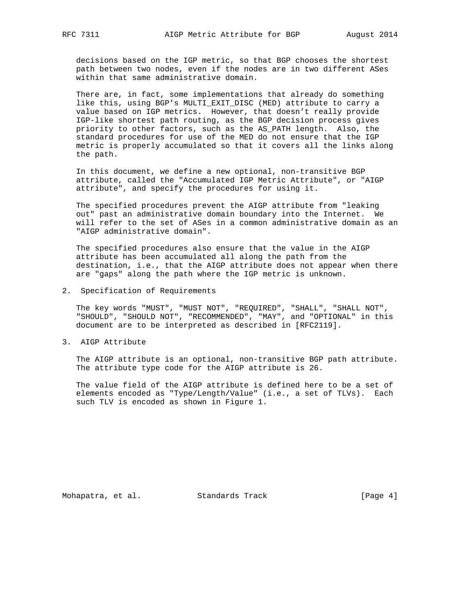decisions based on the IGP metric, so that BGP chooses the shortest path between two nodes, even if the nodes are in two different ASes within that same administrative domain.

 There are, in fact, some implementations that already do something like this, using BGP's MULTI\_EXIT\_DISC (MED) attribute to carry a value based on IGP metrics. However, that doesn't really provide IGP-like shortest path routing, as the BGP decision process gives priority to other factors, such as the AS\_PATH length. Also, the standard procedures for use of the MED do not ensure that the IGP metric is properly accumulated so that it covers all the links along the path.

 In this document, we define a new optional, non-transitive BGP attribute, called the "Accumulated IGP Metric Attribute", or "AIGP attribute", and specify the procedures for using it.

 The specified procedures prevent the AIGP attribute from "leaking out" past an administrative domain boundary into the Internet. We will refer to the set of ASes in a common administrative domain as an "AIGP administrative domain".

 The specified procedures also ensure that the value in the AIGP attribute has been accumulated all along the path from the destination, i.e., that the AIGP attribute does not appear when there are "gaps" along the path where the IGP metric is unknown.

2. Specification of Requirements

 The key words "MUST", "MUST NOT", "REQUIRED", "SHALL", "SHALL NOT", "SHOULD", "SHOULD NOT", "RECOMMENDED", "MAY", and "OPTIONAL" in this document are to be interpreted as described in [RFC2119].

3. AIGP Attribute

 The AIGP attribute is an optional, non-transitive BGP path attribute. The attribute type code for the AIGP attribute is 26.

 The value field of the AIGP attribute is defined here to be a set of elements encoded as "Type/Length/Value" (i.e., a set of TLVs). Each such TLV is encoded as shown in Figure 1.

Mohapatra, et al. Standards Track [Page 4]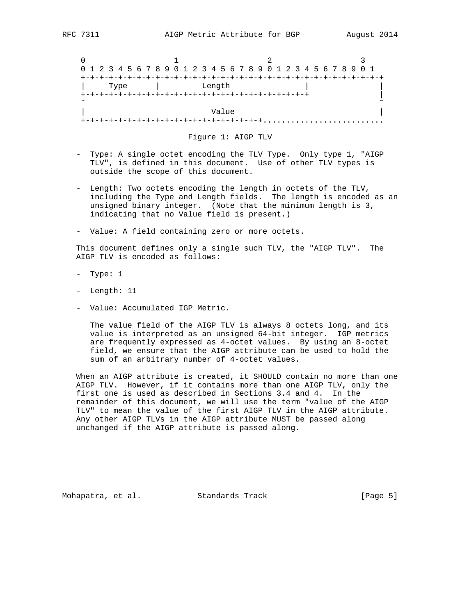|        | 0 1 2 3 4 5 6 7 8 9 0 1 2 3 4 5 6 7 8 9 0 1 2 3 4 5 6 7 8 9 0 1 |                         |  |
|--------|-----------------------------------------------------------------|-------------------------|--|
|        |                                                                 | +-+-+-+-+-+-+-+-+-+-+-+ |  |
| Type   | Length                                                          |                         |  |
|        |                                                                 |                         |  |
| $\sim$ |                                                                 |                         |  |
|        |                                                                 | Value                   |  |
|        |                                                                 |                         |  |

#### Figure 1: AIGP TLV

- Type: A single octet encoding the TLV Type. Only type 1, "AIGP TLV", is defined in this document. Use of other TLV types is outside the scope of this document.
- Length: Two octets encoding the length in octets of the TLV, including the Type and Length fields. The length is encoded as an unsigned binary integer. (Note that the minimum length is 3, indicating that no Value field is present.)
- Value: A field containing zero or more octets.

 This document defines only a single such TLV, the "AIGP TLV". The AIGP TLV is encoded as follows:

- Type: 1
- Length: 11
- Value: Accumulated IGP Metric.

 The value field of the AIGP TLV is always 8 octets long, and its value is interpreted as an unsigned 64-bit integer. IGP metrics are frequently expressed as 4-octet values. By using an 8-octet field, we ensure that the AIGP attribute can be used to hold the sum of an arbitrary number of 4-octet values.

 When an AIGP attribute is created, it SHOULD contain no more than one AIGP TLV. However, if it contains more than one AIGP TLV, only the first one is used as described in Sections 3.4 and 4. In the remainder of this document, we will use the term "value of the AIGP TLV" to mean the value of the first AIGP TLV in the AIGP attribute. Any other AIGP TLVs in the AIGP attribute MUST be passed along unchanged if the AIGP attribute is passed along.

Mohapatra, et al. Standards Track [Page 5]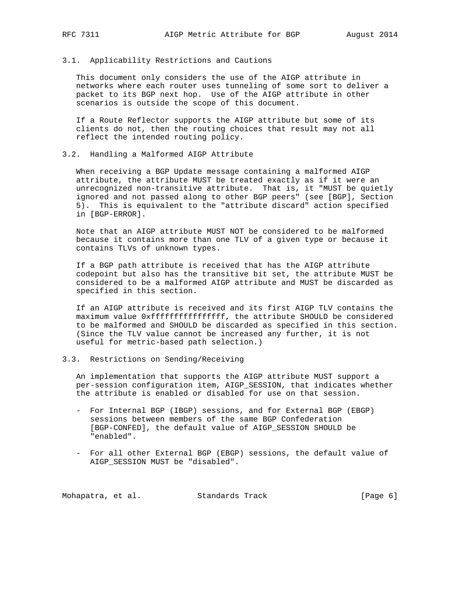#### 3.1. Applicability Restrictions and Cautions

 This document only considers the use of the AIGP attribute in networks where each router uses tunneling of some sort to deliver a packet to its BGP next hop. Use of the AIGP attribute in other scenarios is outside the scope of this document.

 If a Route Reflector supports the AIGP attribute but some of its clients do not, then the routing choices that result may not all reflect the intended routing policy.

#### 3.2. Handling a Malformed AIGP Attribute

 When receiving a BGP Update message containing a malformed AIGP attribute, the attribute MUST be treated exactly as if it were an unrecognized non-transitive attribute. That is, it "MUST be quietly ignored and not passed along to other BGP peers" (see [BGP], Section 5). This is equivalent to the "attribute discard" action specified in [BGP-ERROR].

 Note that an AIGP attribute MUST NOT be considered to be malformed because it contains more than one TLV of a given type or because it contains TLVs of unknown types.

 If a BGP path attribute is received that has the AIGP attribute codepoint but also has the transitive bit set, the attribute MUST be considered to be a malformed AIGP attribute and MUST be discarded as specified in this section.

 If an AIGP attribute is received and its first AIGP TLV contains the maximum value 0xffffffffffffffffff, the attribute SHOULD be considered to be malformed and SHOULD be discarded as specified in this section. (Since the TLV value cannot be increased any further, it is not useful for metric-based path selection.)

### 3.3. Restrictions on Sending/Receiving

 An implementation that supports the AIGP attribute MUST support a per-session configuration item, AIGP\_SESSION, that indicates whether the attribute is enabled or disabled for use on that session.

- For Internal BGP (IBGP) sessions, and for External BGP (EBGP) sessions between members of the same BGP Confederation [BGP-CONFED], the default value of AIGP\_SESSION SHOULD be "enabled".
- For all other External BGP (EBGP) sessions, the default value of AIGP\_SESSION MUST be "disabled".

Mohapatra, et al. Standards Track [Page 6]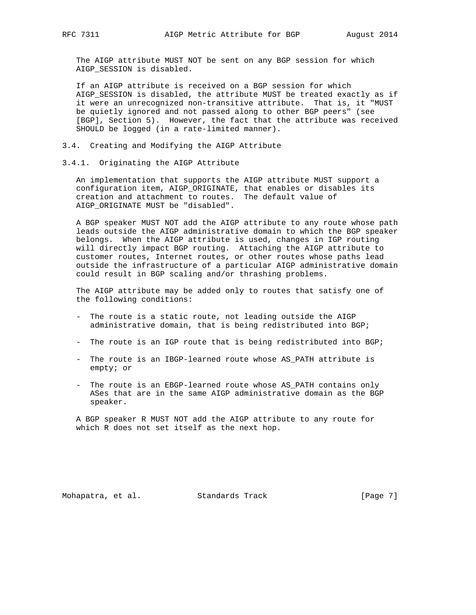The AIGP attribute MUST NOT be sent on any BGP session for which AIGP\_SESSION is disabled.

 If an AIGP attribute is received on a BGP session for which AIGP\_SESSION is disabled, the attribute MUST be treated exactly as if it were an unrecognized non-transitive attribute. That is, it "MUST be quietly ignored and not passed along to other BGP peers" (see [BGP], Section 5). However, the fact that the attribute was received SHOULD be logged (in a rate-limited manner).

- 3.4. Creating and Modifying the AIGP Attribute
- 3.4.1. Originating the AIGP Attribute

 An implementation that supports the AIGP attribute MUST support a configuration item, AIGP\_ORIGINATE, that enables or disables its creation and attachment to routes. The default value of AIGP\_ORIGINATE MUST be "disabled".

 A BGP speaker MUST NOT add the AIGP attribute to any route whose path leads outside the AIGP administrative domain to which the BGP speaker belongs. When the AIGP attribute is used, changes in IGP routing will directly impact BGP routing. Attaching the AIGP attribute to customer routes, Internet routes, or other routes whose paths lead outside the infrastructure of a particular AIGP administrative domain could result in BGP scaling and/or thrashing problems.

 The AIGP attribute may be added only to routes that satisfy one of the following conditions:

- The route is a static route, not leading outside the AIGP administrative domain, that is being redistributed into BGP;
- The route is an IGP route that is being redistributed into BGP;
- The route is an IBGP-learned route whose AS\_PATH attribute is empty; or
- The route is an EBGP-learned route whose AS\_PATH contains only ASes that are in the same AIGP administrative domain as the BGP speaker.

 A BGP speaker R MUST NOT add the AIGP attribute to any route for which R does not set itself as the next hop.

Mohapatra, et al. Standards Track [Page 7]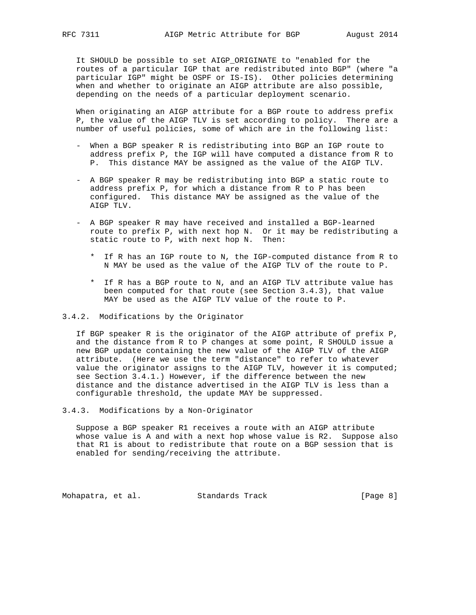It SHOULD be possible to set AIGP\_ORIGINATE to "enabled for the routes of a particular IGP that are redistributed into BGP" (where "a particular IGP" might be OSPF or IS-IS). Other policies determining when and whether to originate an AIGP attribute are also possible, depending on the needs of a particular deployment scenario.

 When originating an AIGP attribute for a BGP route to address prefix P, the value of the AIGP TLV is set according to policy. There are a number of useful policies, some of which are in the following list:

- When a BGP speaker R is redistributing into BGP an IGP route to address prefix P, the IGP will have computed a distance from R to P. This distance MAY be assigned as the value of the AIGP TLV.
- A BGP speaker R may be redistributing into BGP a static route to address prefix P, for which a distance from R to P has been configured. This distance MAY be assigned as the value of the AIGP TLV.
- A BGP speaker R may have received and installed a BGP-learned route to prefix P, with next hop N. Or it may be redistributing a static route to P, with next hop N. Then:
	- \* If R has an IGP route to N, the IGP-computed distance from R to N MAY be used as the value of the AIGP TLV of the route to P.
	- \* If R has a BGP route to N, and an AIGP TLV attribute value has been computed for that route (see Section 3.4.3), that value MAY be used as the AIGP TLV value of the route to P.
- 3.4.2. Modifications by the Originator

 If BGP speaker R is the originator of the AIGP attribute of prefix P, and the distance from R to P changes at some point, R SHOULD issue a new BGP update containing the new value of the AIGP TLV of the AIGP attribute. (Here we use the term "distance" to refer to whatever value the originator assigns to the AIGP TLV, however it is computed; see Section 3.4.1.) However, if the difference between the new distance and the distance advertised in the AIGP TLV is less than a configurable threshold, the update MAY be suppressed.

3.4.3. Modifications by a Non-Originator

 Suppose a BGP speaker R1 receives a route with an AIGP attribute whose value is A and with a next hop whose value is R2. Suppose also that R1 is about to redistribute that route on a BGP session that is enabled for sending/receiving the attribute.

Mohapatra, et al. Standards Track [Page 8]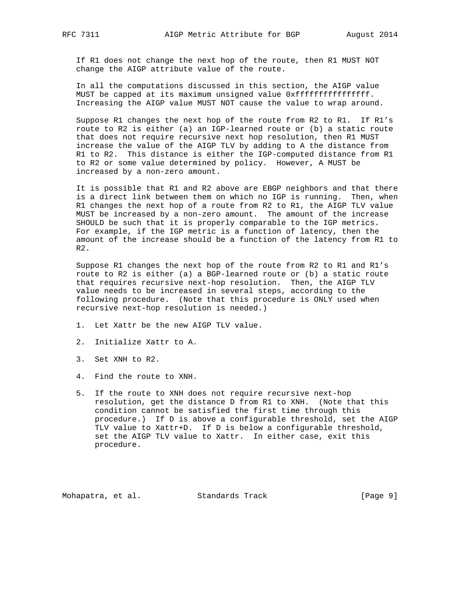If R1 does not change the next hop of the route, then R1 MUST NOT change the AIGP attribute value of the route.

 In all the computations discussed in this section, the AIGP value MUST be capped at its maximum unsigned value 0xffffffffffffffff. Increasing the AIGP value MUST NOT cause the value to wrap around.

 Suppose R1 changes the next hop of the route from R2 to R1. If R1's route to R2 is either (a) an IGP-learned route or (b) a static route that does not require recursive next hop resolution, then R1 MUST increase the value of the AIGP TLV by adding to A the distance from R1 to R2. This distance is either the IGP-computed distance from R1 to R2 or some value determined by policy. However, A MUST be increased by a non-zero amount.

 It is possible that R1 and R2 above are EBGP neighbors and that there is a direct link between them on which no IGP is running. Then, when R1 changes the next hop of a route from R2 to R1, the AIGP TLV value MUST be increased by a non-zero amount. The amount of the increase SHOULD be such that it is properly comparable to the IGP metrics. For example, if the IGP metric is a function of latency, then the amount of the increase should be a function of the latency from R1 to R2.

 Suppose R1 changes the next hop of the route from R2 to R1 and R1's route to R2 is either (a) a BGP-learned route or (b) a static route that requires recursive next-hop resolution. Then, the AIGP TLV value needs to be increased in several steps, according to the following procedure. (Note that this procedure is ONLY used when recursive next-hop resolution is needed.)

- 1. Let Xattr be the new AIGP TLV value.
- 2. Initialize Xattr to A.
- 3. Set XNH to R2.
- 4. Find the route to XNH.
- 5. If the route to XNH does not require recursive next-hop resolution, get the distance D from R1 to XNH. (Note that this condition cannot be satisfied the first time through this procedure.) If D is above a configurable threshold, set the AIGP TLV value to Xattr+D. If D is below a configurable threshold, set the AIGP TLV value to Xattr. In either case, exit this procedure.

Mohapatra, et al. Standards Track [Page 9]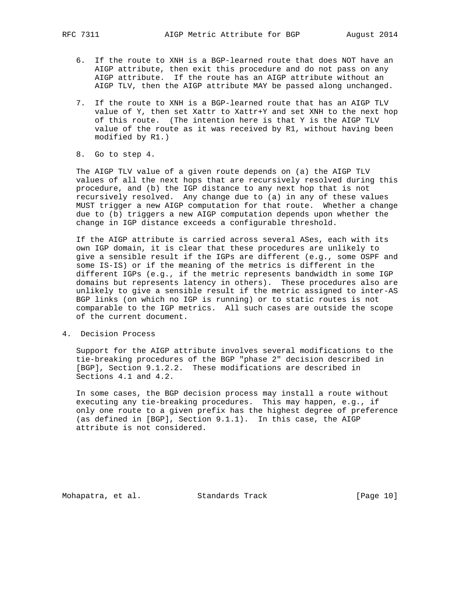- 6. If the route to XNH is a BGP-learned route that does NOT have an AIGP attribute, then exit this procedure and do not pass on any AIGP attribute. If the route has an AIGP attribute without an AIGP TLV, then the AIGP attribute MAY be passed along unchanged.
- 7. If the route to XNH is a BGP-learned route that has an AIGP TLV value of Y, then set Xattr to Xattr+Y and set XNH to the next hop of this route. (The intention here is that Y is the AIGP TLV value of the route as it was received by R1, without having been modified by R1.)
- 8. Go to step 4.

 The AIGP TLV value of a given route depends on (a) the AIGP TLV values of all the next hops that are recursively resolved during this procedure, and (b) the IGP distance to any next hop that is not recursively resolved. Any change due to (a) in any of these values MUST trigger a new AIGP computation for that route. Whether a change due to (b) triggers a new AIGP computation depends upon whether the change in IGP distance exceeds a configurable threshold.

 If the AIGP attribute is carried across several ASes, each with its own IGP domain, it is clear that these procedures are unlikely to give a sensible result if the IGPs are different (e.g., some OSPF and some IS-IS) or if the meaning of the metrics is different in the different IGPs (e.g., if the metric represents bandwidth in some IGP domains but represents latency in others). These procedures also are unlikely to give a sensible result if the metric assigned to inter-AS BGP links (on which no IGP is running) or to static routes is not comparable to the IGP metrics. All such cases are outside the scope of the current document.

4. Decision Process

 Support for the AIGP attribute involves several modifications to the tie-breaking procedures of the BGP "phase 2" decision described in [BGP], Section 9.1.2.2. These modifications are described in Sections 4.1 and 4.2.

 In some cases, the BGP decision process may install a route without executing any tie-breaking procedures. This may happen, e.g., if only one route to a given prefix has the highest degree of preference (as defined in [BGP], Section 9.1.1). In this case, the AIGP attribute is not considered.

Mohapatra, et al. Standards Track [Page 10]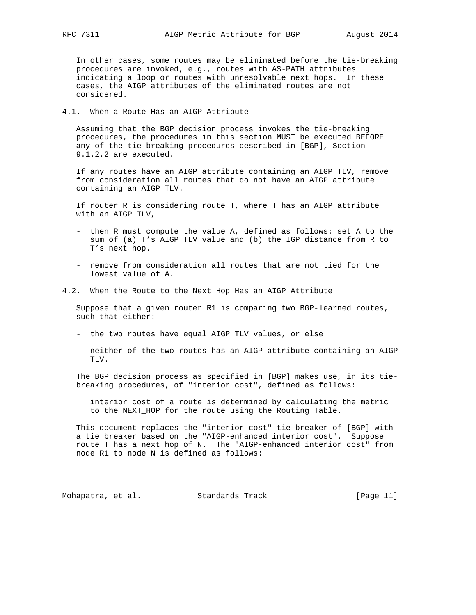In other cases, some routes may be eliminated before the tie-breaking procedures are invoked, e.g., routes with AS-PATH attributes indicating a loop or routes with unresolvable next hops. In these cases, the AIGP attributes of the eliminated routes are not considered.

### 4.1. When a Route Has an AIGP Attribute

 Assuming that the BGP decision process invokes the tie-breaking procedures, the procedures in this section MUST be executed BEFORE any of the tie-breaking procedures described in [BGP], Section 9.1.2.2 are executed.

 If any routes have an AIGP attribute containing an AIGP TLV, remove from consideration all routes that do not have an AIGP attribute containing an AIGP TLV.

 If router R is considering route T, where T has an AIGP attribute with an AIGP TLV,

- then R must compute the value A, defined as follows: set A to the sum of (a) T's AIGP TLV value and (b) the IGP distance from R to T's next hop.
- remove from consideration all routes that are not tied for the lowest value of A.
- 4.2. When the Route to the Next Hop Has an AIGP Attribute

 Suppose that a given router R1 is comparing two BGP-learned routes, such that either:

- the two routes have equal AIGP TLV values, or else
- neither of the two routes has an AIGP attribute containing an AIGP TLV.

 The BGP decision process as specified in [BGP] makes use, in its tie breaking procedures, of "interior cost", defined as follows:

 interior cost of a route is determined by calculating the metric to the NEXT\_HOP for the route using the Routing Table.

 This document replaces the "interior cost" tie breaker of [BGP] with a tie breaker based on the "AIGP-enhanced interior cost". Suppose route T has a next hop of N. The "AIGP-enhanced interior cost" from node R1 to node N is defined as follows:

Mohapatra, et al. Standards Track [Page 11]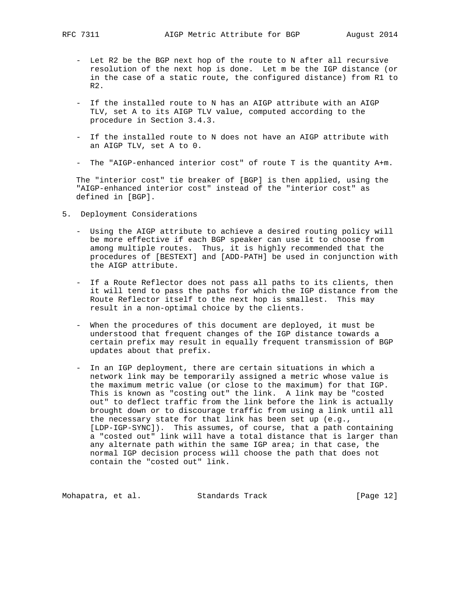- Let R2 be the BGP next hop of the route to N after all recursive resolution of the next hop is done. Let m be the IGP distance (or in the case of a static route, the configured distance) from R1 to R2.
- If the installed route to N has an AIGP attribute with an AIGP TLV, set A to its AIGP TLV value, computed according to the procedure in Section 3.4.3.
- If the installed route to N does not have an AIGP attribute with an AIGP TLV, set A to 0.
- The "AIGP-enhanced interior cost" of route T is the quantity A+m.

 The "interior cost" tie breaker of [BGP] is then applied, using the "AIGP-enhanced interior cost" instead of the "interior cost" as defined in [BGP].

- 5. Deployment Considerations
	- Using the AIGP attribute to achieve a desired routing policy will be more effective if each BGP speaker can use it to choose from among multiple routes. Thus, it is highly recommended that the procedures of [BESTEXT] and [ADD-PATH] be used in conjunction with the AIGP attribute.
	- If a Route Reflector does not pass all paths to its clients, then it will tend to pass the paths for which the IGP distance from the Route Reflector itself to the next hop is smallest. This may result in a non-optimal choice by the clients.
	- When the procedures of this document are deployed, it must be understood that frequent changes of the IGP distance towards a certain prefix may result in equally frequent transmission of BGP updates about that prefix.
	- In an IGP deployment, there are certain situations in which a network link may be temporarily assigned a metric whose value is the maximum metric value (or close to the maximum) for that IGP. This is known as "costing out" the link. A link may be "costed out" to deflect traffic from the link before the link is actually brought down or to discourage traffic from using a link until all the necessary state for that link has been set up (e.g., [LDP-IGP-SYNC]). This assumes, of course, that a path containing a "costed out" link will have a total distance that is larger than any alternate path within the same IGP area; in that case, the normal IGP decision process will choose the path that does not contain the "costed out" link.

Mohapatra, et al. Standards Track [Page 12]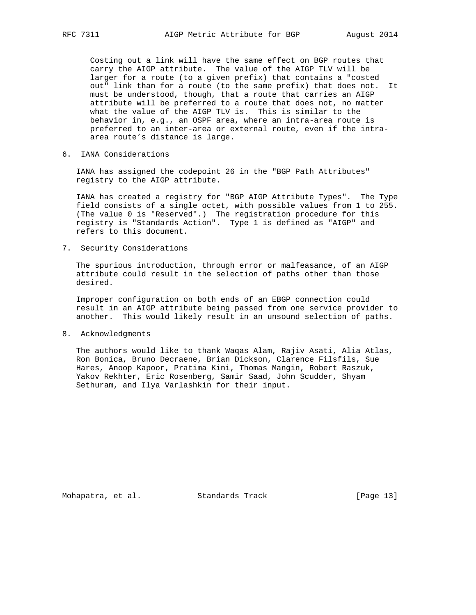Costing out a link will have the same effect on BGP routes that carry the AIGP attribute. The value of the AIGP TLV will be larger for a route (to a given prefix) that contains a "costed out" link than for a route (to the same prefix) that does not. It must be understood, though, that a route that carries an AIGP attribute will be preferred to a route that does not, no matter what the value of the AIGP TLV is. This is similar to the behavior in, e.g., an OSPF area, where an intra-area route is preferred to an inter-area or external route, even if the intra area route's distance is large.

6. IANA Considerations

 IANA has assigned the codepoint 26 in the "BGP Path Attributes" registry to the AIGP attribute.

 IANA has created a registry for "BGP AIGP Attribute Types". The Type field consists of a single octet, with possible values from 1 to 255. (The value 0 is "Reserved".) The registration procedure for this registry is "Standards Action". Type 1 is defined as "AIGP" and refers to this document.

7. Security Considerations

 The spurious introduction, through error or malfeasance, of an AIGP attribute could result in the selection of paths other than those desired.

 Improper configuration on both ends of an EBGP connection could result in an AIGP attribute being passed from one service provider to another. This would likely result in an unsound selection of paths.

8. Acknowledgments

 The authors would like to thank Waqas Alam, Rajiv Asati, Alia Atlas, Ron Bonica, Bruno Decraene, Brian Dickson, Clarence Filsfils, Sue Hares, Anoop Kapoor, Pratima Kini, Thomas Mangin, Robert Raszuk, Yakov Rekhter, Eric Rosenberg, Samir Saad, John Scudder, Shyam Sethuram, and Ilya Varlashkin for their input.

Mohapatra, et al. Standards Track [Page 13]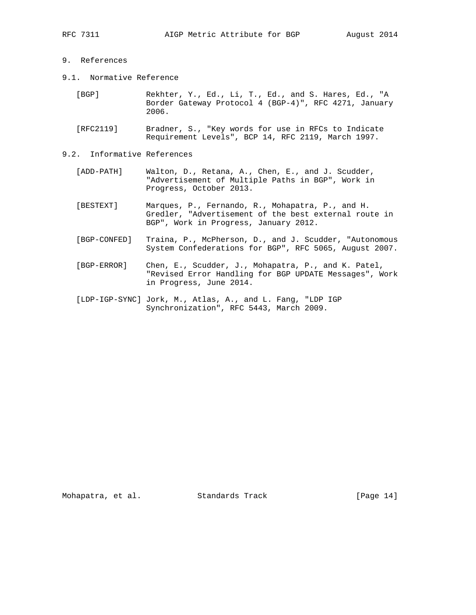## 9. References

- 9.1. Normative Reference
	- [BGP] Rekhter, Y., Ed., Li, T., Ed., and S. Hares, Ed., "A Border Gateway Protocol 4 (BGP-4)", RFC 4271, January 2006.
	- [RFC2119] Bradner, S., "Key words for use in RFCs to Indicate Requirement Levels", BCP 14, RFC 2119, March 1997.
- 9.2. Informative References
	- [ADD-PATH] Walton, D., Retana, A., Chen, E., and J. Scudder, "Advertisement of Multiple Paths in BGP", Work in Progress, October 2013.
	- [BESTEXT] Marques, P., Fernando, R., Mohapatra, P., and H. Gredler, "Advertisement of the best external route in BGP", Work in Progress, January 2012.
	- [BGP-CONFED] Traina, P., McPherson, D., and J. Scudder, "Autonomous System Confederations for BGP", RFC 5065, August 2007.
	- [BGP-ERROR] Chen, E., Scudder, J., Mohapatra, P., and K. Patel, "Revised Error Handling for BGP UPDATE Messages", Work in Progress, June 2014.
	- [LDP-IGP-SYNC] Jork, M., Atlas, A., and L. Fang, "LDP IGP Synchronization", RFC 5443, March 2009.

Mohapatra, et al. Standards Track [Page 14]